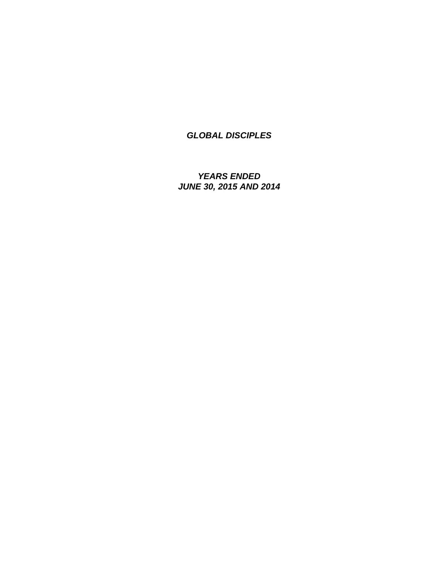*YEARS ENDED JUNE 30, 2015 AND 2014*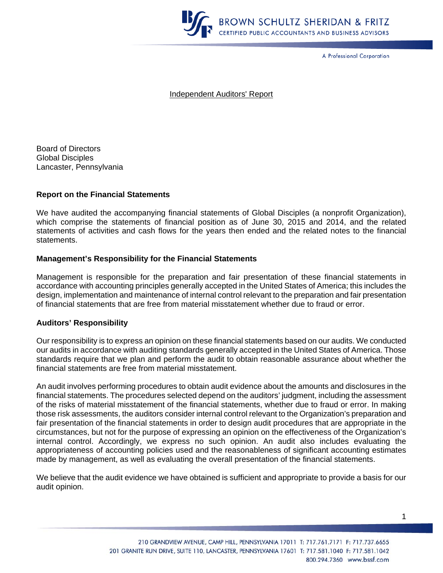

A Professional Corporation

#### Independent Auditors' Report

Board of Directors Global Disciples Lancaster, Pennsylvania

#### **Report on the Financial Statements**

We have audited the accompanying financial statements of Global Disciples (a nonprofit Organization), which comprise the statements of financial position as of June 30, 2015 and 2014, and the related statements of activities and cash flows for the years then ended and the related notes to the financial statements.

### **Management's Responsibility for the Financial Statements**

Management is responsible for the preparation and fair presentation of these financial statements in accordance with accounting principles generally accepted in the United States of America; this includes the design, implementation and maintenance of internal control relevant to the preparation and fair presentation of financial statements that are free from material misstatement whether due to fraud or error.

#### **Auditors' Responsibility**

Our responsibility is to express an opinion on these financial statements based on our audits. We conducted our audits in accordance with auditing standards generally accepted in the United States of America. Those standards require that we plan and perform the audit to obtain reasonable assurance about whether the financial statements are free from material misstatement.

An audit involves performing procedures to obtain audit evidence about the amounts and disclosures in the financial statements. The procedures selected depend on the auditors' judgment, including the assessment of the risks of material misstatement of the financial statements, whether due to fraud or error. In making those risk assessments, the auditors consider internal control relevant to the Organization's preparation and fair presentation of the financial statements in order to design audit procedures that are appropriate in the circumstances, but not for the purpose of expressing an opinion on the effectiveness of the Organization's internal control. Accordingly, we express no such opinion. An audit also includes evaluating the appropriateness of accounting policies used and the reasonableness of significant accounting estimates made by management, as well as evaluating the overall presentation of the financial statements.

We believe that the audit evidence we have obtained is sufficient and appropriate to provide a basis for our audit opinion.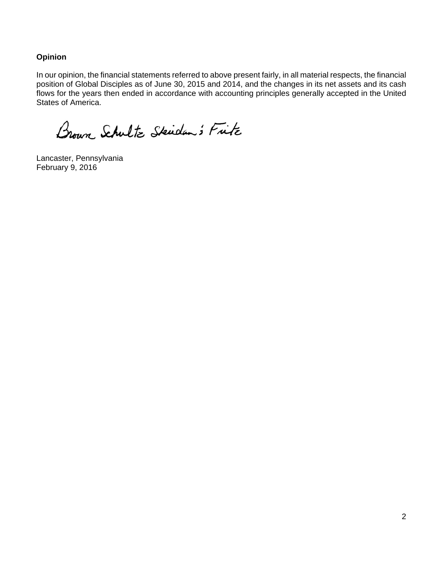### **Opinion**

In our opinion, the financial statements referred to above present fairly, in all material respects, the financial position of Global Disciples as of June 30, 2015 and 2014, and the changes in its net assets and its cash flows for the years then ended in accordance with accounting principles generally accepted in the United States of America.

Brown Schultz Skidan's Fitz

Lancaster, Pennsylvania February 9, 2016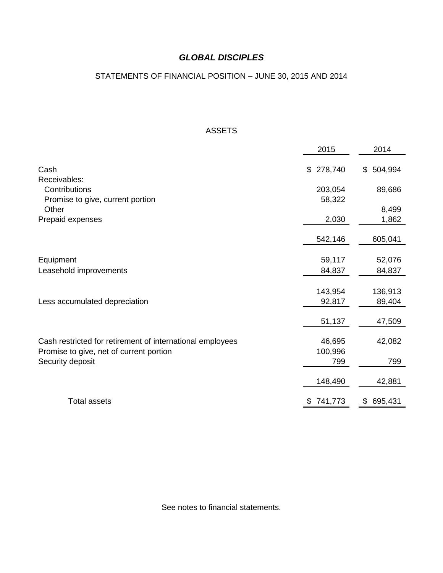## STATEMENTS OF FINANCIAL POSITION – JUNE 30, 2015 AND 2014

### ASSETS

|                                                                   | 2015              | 2014          |
|-------------------------------------------------------------------|-------------------|---------------|
| Cash                                                              | 278,740<br>\$     | \$504,994     |
| Receivables:<br>Contributions<br>Promise to give, current portion | 203,054<br>58,322 | 89,686        |
| Other                                                             |                   | 8,499         |
| Prepaid expenses                                                  | 2,030             | 1,862         |
|                                                                   | 542,146           | 605,041       |
| Equipment                                                         | 59,117            | 52,076        |
| Leasehold improvements                                            | 84,837            | 84,837        |
|                                                                   |                   |               |
|                                                                   | 143,954           | 136,913       |
| Less accumulated depreciation                                     | 92,817            | 89,404        |
|                                                                   | 51,137            | 47,509        |
| Cash restricted for retirement of international employees         | 46,695            | 42,082        |
| Promise to give, net of current portion                           | 100,996           |               |
| Security deposit                                                  | 799               | 799           |
|                                                                   | 148,490           | 42,881        |
| <b>Total assets</b>                                               | 741,773<br>S      | 695,431<br>\$ |

See notes to financial statements.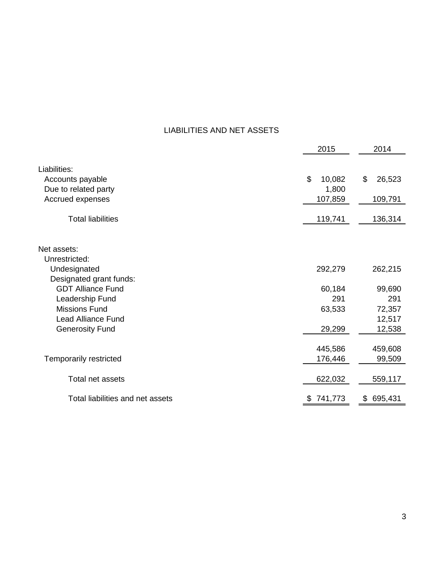## LIABILITIES AND NET ASSETS

|                                                          | 2015                  | 2014          |
|----------------------------------------------------------|-----------------------|---------------|
| Liabilities:<br>Accounts payable<br>Due to related party | \$<br>10,082<br>1,800 | \$<br>26,523  |
| Accrued expenses                                         | 107,859               | 109,791       |
|                                                          |                       |               |
| <b>Total liabilities</b>                                 | 119,741               | 136,314       |
| Net assets:<br>Unrestricted:                             |                       |               |
| Undesignated<br>Designated grant funds:                  | 292,279               | 262,215       |
| <b>GDT Alliance Fund</b>                                 | 60,184                | 99,690        |
| Leadership Fund                                          | 291                   | 291           |
| <b>Missions Fund</b>                                     | 63,533                | 72,357        |
| <b>Lead Alliance Fund</b>                                |                       | 12,517        |
| <b>Generosity Fund</b>                                   | 29,299                | 12,538        |
|                                                          | 445,586               | 459,608       |
| <b>Temporarily restricted</b>                            | 176,446               | 99,509        |
| Total net assets                                         | 622,032               | 559,117       |
| Total liabilities and net assets                         | 741,773<br>\$         | 695,431<br>\$ |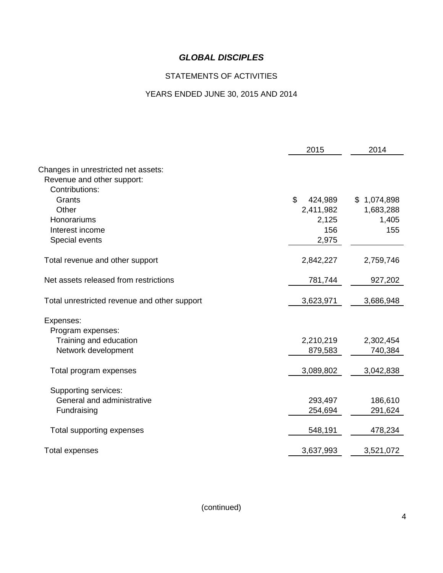## STATEMENTS OF ACTIVITIES

## YEARS ENDED JUNE 30, 2015 AND 2014

|                                              | 2015          | 2014        |
|----------------------------------------------|---------------|-------------|
|                                              |               |             |
| Changes in unrestricted net assets:          |               |             |
| Revenue and other support:                   |               |             |
| Contributions:                               |               |             |
| Grants                                       | \$<br>424,989 | \$1,074,898 |
| Other                                        | 2,411,982     | 1,683,288   |
| Honorariums                                  | 2,125         | 1,405       |
| Interest income                              | 156           | 155         |
| Special events                               | 2,975         |             |
| Total revenue and other support              | 2,842,227     | 2,759,746   |
| Net assets released from restrictions        | 781,744       | 927,202     |
| Total unrestricted revenue and other support | 3,623,971     | 3,686,948   |
| Expenses:                                    |               |             |
| Program expenses:                            |               |             |
| Training and education                       | 2,210,219     | 2,302,454   |
| Network development                          | 879,583       | 740,384     |
| Total program expenses                       | 3,089,802     | 3,042,838   |
| Supporting services:                         |               |             |
| General and administrative                   | 293,497       | 186,610     |
| Fundraising                                  | 254,694       | 291,624     |
|                                              |               |             |
| Total supporting expenses                    | 548,191       | 478,234     |
| <b>Total expenses</b>                        | 3,637,993     | 3,521,072   |
|                                              |               |             |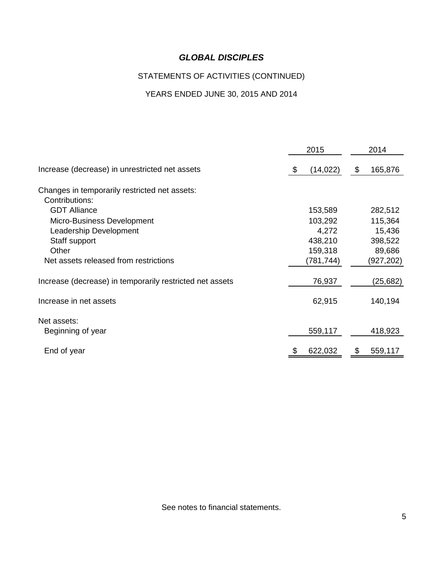# STATEMENTS OF ACTIVITIES (CONTINUED)

## YEARS ENDED JUNE 30, 2015 AND 2014

|                                                          | 2015            | 2014          |
|----------------------------------------------------------|-----------------|---------------|
| Increase (decrease) in unrestricted net assets           | (14, 022)<br>\$ | 165,876<br>\$ |
| Changes in temporarily restricted net assets:            |                 |               |
| Contributions:                                           |                 |               |
| <b>GDT Alliance</b>                                      | 153,589         | 282,512       |
| Micro-Business Development                               | 103,292         | 115,364       |
| Leadership Development                                   | 4,272           | 15,436        |
| Staff support                                            | 438,210         | 398,522       |
| Other                                                    | 159,318         | 89,686        |
| Net assets released from restrictions                    | (781,744)       | (927,202)     |
| Increase (decrease) in temporarily restricted net assets | 76,937          | (25,682)      |
| Increase in net assets                                   | 62,915          | 140,194       |
| Net assets:                                              |                 |               |
| Beginning of year                                        | 559,117         | 418,923       |
| End of year                                              | 622,032         | 559,117       |

See notes to financial statements.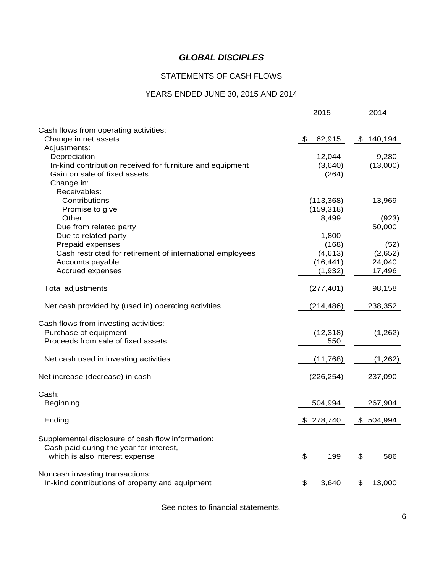## STATEMENTS OF CASH FLOWS

## YEARS ENDED JUNE 30, 2015 AND 2014

|                                                           | 2015         | 2014          |
|-----------------------------------------------------------|--------------|---------------|
| Cash flows from operating activities:                     |              |               |
| Change in net assets                                      | \$<br>62,915 | \$<br>140,194 |
| Adjustments:                                              |              |               |
| Depreciation                                              | 12,044       | 9,280         |
| In-kind contribution received for furniture and equipment | (3,640)      | (13,000)      |
| Gain on sale of fixed assets                              | (264)        |               |
| Change in:                                                |              |               |
| Receivables:                                              |              |               |
| Contributions                                             | (113, 368)   | 13,969        |
| Promise to give                                           | (159, 318)   |               |
| Other                                                     | 8,499        | (923)         |
| Due from related party                                    |              | 50,000        |
| Due to related party                                      | 1,800        |               |
| Prepaid expenses                                          | (168)        | (52)          |
| Cash restricted for retirement of international employees | (4,613)      | (2,652)       |
| Accounts payable                                          | (16, 441)    | 24,040        |
| Accrued expenses                                          | (1,932)      | 17,496        |
| Total adjustments                                         | (277, 401)   | 98,158        |
| Net cash provided by (used in) operating activities       | (214, 486)   | 238,352       |
| Cash flows from investing activities:                     |              |               |
| Purchase of equipment                                     | (12, 318)    | (1,262)       |
| Proceeds from sale of fixed assets                        | 550          |               |
|                                                           |              |               |
| Net cash used in investing activities                     | (11, 768)    | (1, 262)      |
| Net increase (decrease) in cash                           | (226, 254)   | 237,090       |
| Cash:                                                     |              |               |
| <b>Beginning</b>                                          | 504,994      | 267,904       |
| Ending                                                    | 278,740      | \$<br>504,994 |
| Supplemental disclosure of cash flow information:         |              |               |
| Cash paid during the year for interest,                   |              |               |
| which is also interest expense                            | \$<br>199    | \$<br>586     |
| Noncash investing transactions:                           |              |               |
| In-kind contributions of property and equipment           | \$<br>3,640  | \$<br>13,000  |

See notes to financial statements.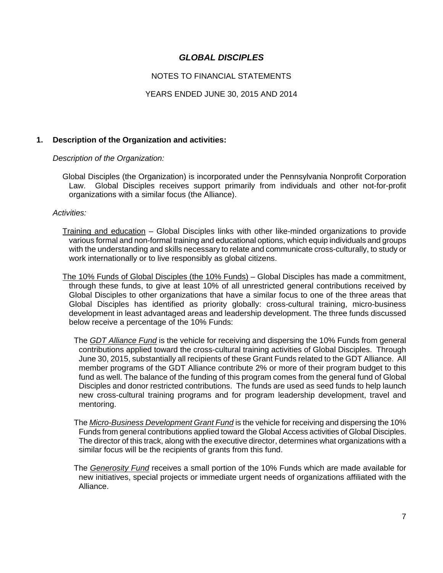## NOTES TO FINANCIAL STATEMENTS

### YEARS ENDED JUNE 30, 2015 AND 2014

#### **1. Description of the Organization and activities:**

*Description of the Organization:* 

 Global Disciples (the Organization) is incorporated under the Pennsylvania Nonprofit Corporation Law. Global Disciples receives support primarily from individuals and other not-for-profit organizations with a similar focus (the Alliance).

*Activities:* 

- Training and education Global Disciples links with other like-minded organizations to provide various formal and non-formal training and educational options, which equip individuals and groups with the understanding and skills necessary to relate and communicate cross-culturally, to study or work internationally or to live responsibly as global citizens.
- The 10% Funds of Global Disciples (the 10% Funds) Global Disciples has made a commitment, through these funds, to give at least 10% of all unrestricted general contributions received by Global Disciples to other organizations that have a similar focus to one of the three areas that Global Disciples has identified as priority globally: cross-cultural training, micro-business development in least advantaged areas and leadership development. The three funds discussed below receive a percentage of the 10% Funds:
	- The *GDT Alliance Fund* is the vehicle for receiving and dispersing the 10% Funds from general contributions applied toward the cross-cultural training activities of Global Disciples. Through June 30, 2015, substantially all recipients of these Grant Funds related to the GDT Alliance. All member programs of the GDT Alliance contribute 2% or more of their program budget to this fund as well. The balance of the funding of this program comes from the general fund of Global Disciples and donor restricted contributions. The funds are used as seed funds to help launch new cross-cultural training programs and for program leadership development, travel and mentoring.
	- The *Micro-Business Development Grant Fund* is the vehicle for receiving and dispersing the 10% Funds from general contributions applied toward the Global Access activities of Global Disciples. The director of this track, along with the executive director, determines what organizations with a similar focus will be the recipients of grants from this fund.
	- The *Generosity Fund* receives a small portion of the 10% Funds which are made available for new initiatives, special projects or immediate urgent needs of organizations affiliated with the Alliance.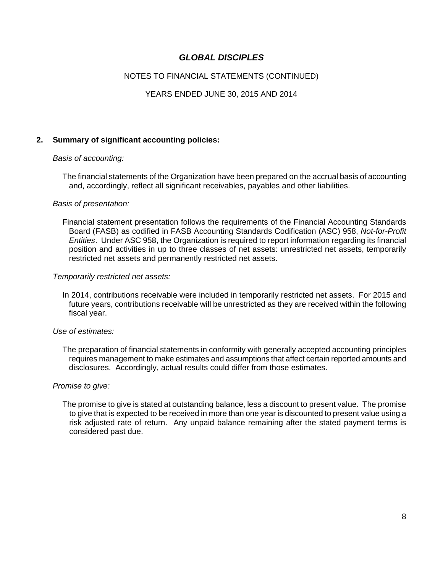### NOTES TO FINANCIAL STATEMENTS (CONTINUED)

### YEARS ENDED JUNE 30, 2015 AND 2014

### **2. Summary of significant accounting policies:**

#### *Basis of accounting:*

 The financial statements of the Organization have been prepared on the accrual basis of accounting and, accordingly, reflect all significant receivables, payables and other liabilities.

#### *Basis of presentation:*

 Financial statement presentation follows the requirements of the Financial Accounting Standards Board (FASB) as codified in FASB Accounting Standards Codification (ASC) 958, *Not-for-Profit Entities*. Under ASC 958, the Organization is required to report information regarding its financial position and activities in up to three classes of net assets: unrestricted net assets, temporarily restricted net assets and permanently restricted net assets.

#### *Temporarily restricted net assets:*

 In 2014, contributions receivable were included in temporarily restricted net assets. For 2015 and future years, contributions receivable will be unrestricted as they are received within the following fiscal year.

#### *Use of estimates:*

 The preparation of financial statements in conformity with generally accepted accounting principles requires management to make estimates and assumptions that affect certain reported amounts and disclosures. Accordingly, actual results could differ from those estimates.

#### *Promise to give:*

 The promise to give is stated at outstanding balance, less a discount to present value. The promise to give that is expected to be received in more than one year is discounted to present value using a risk adjusted rate of return. Any unpaid balance remaining after the stated payment terms is considered past due.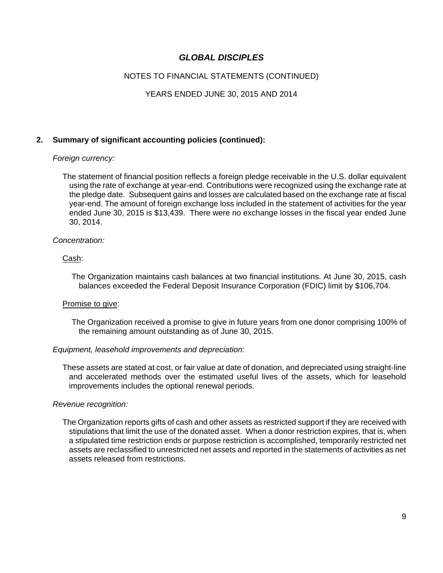## NOTES TO FINANCIAL STATEMENTS (CONTINUED)

### YEARS ENDED JUNE 30, 2015 AND 2014

### **2. Summary of significant accounting policies (continued):**

#### *Foreign currency:*

 The statement of financial position reflects a foreign pledge receivable in the U.S. dollar equivalent using the rate of exchange at year-end. Contributions were recognized using the exchange rate at the pledge date. Subsequent gains and losses are calculated based on the exchange rate at fiscal year-end. The amount of foreign exchange loss included in the statement of activities for the year ended June 30, 2015 is \$13,439. There were no exchange losses in the fiscal year ended June 30, 2014.

#### *Concentration:*

#### Cash:

 The Organization maintains cash balances at two financial institutions. At June 30, 2015, cash balances exceeded the Federal Deposit Insurance Corporation (FDIC) limit by \$106,704.

#### Promise to give:

 The Organization received a promise to give in future years from one donor comprising 100% of the remaining amount outstanding as of June 30, 2015.

#### *Equipment, leasehold improvements and depreciation:*

 These assets are stated at cost, or fair value at date of donation, and depreciated using straight-line and accelerated methods over the estimated useful lives of the assets, which for leasehold improvements includes the optional renewal periods.

#### *Revenue recognition:*

 The Organization reports gifts of cash and other assets as restricted support if they are received with stipulations that limit the use of the donated asset. When a donor restriction expires, that is, when a stipulated time restriction ends or purpose restriction is accomplished, temporarily restricted net assets are reclassified to unrestricted net assets and reported in the statements of activities as net assets released from restrictions.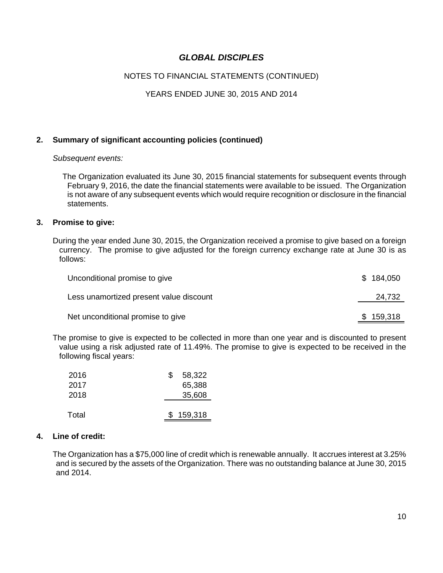## NOTES TO FINANCIAL STATEMENTS (CONTINUED)

### YEARS ENDED JUNE 30, 2015 AND 2014

### **2. Summary of significant accounting policies (continued)**

 *Subsequent events:* 

 The Organization evaluated its June 30, 2015 financial statements for subsequent events through February 9, 2016, the date the financial statements were available to be issued. The Organization is not aware of any subsequent events which would require recognition or disclosure in the financial statements.

#### **3. Promise to give:**

During the year ended June 30, 2015, the Organization received a promise to give based on a foreign currency. The promise to give adjusted for the foreign currency exchange rate at June 30 is as follows:

| Unconditional promise to give           | \$184,050 |
|-----------------------------------------|-----------|
| Less unamortized present value discount | 24,732    |
| Net unconditional promise to give       | \$159,318 |

The promise to give is expected to be collected in more than one year and is discounted to present value using a risk adjusted rate of 11.49%. The promise to give is expected to be received in the following fiscal years:

| 2016  | S. | 58,322    |
|-------|----|-----------|
| 2017  |    | 65,388    |
| 2018  |    | 35,608    |
|       |    |           |
| Total |    | \$159,318 |
|       |    |           |

### **4. Line of credit:**

 The Organization has a \$75,000 line of credit which is renewable annually. It accrues interest at 3.25% and is secured by the assets of the Organization. There was no outstanding balance at June 30, 2015 and 2014.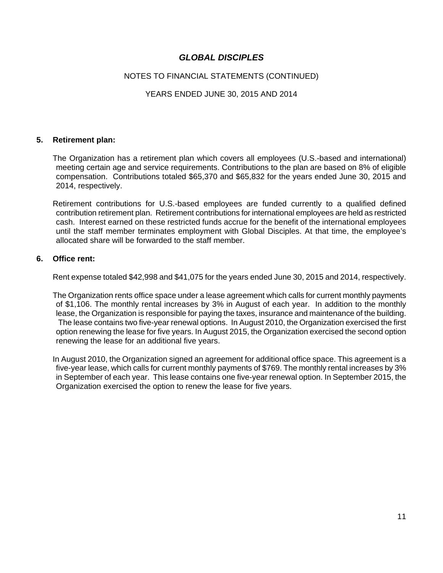### NOTES TO FINANCIAL STATEMENTS (CONTINUED)

### YEARS ENDED JUNE 30, 2015 AND 2014

#### **5. Retirement plan:**

 The Organization has a retirement plan which covers all employees (U.S.-based and international) meeting certain age and service requirements. Contributions to the plan are based on 8% of eligible compensation. Contributions totaled \$65,370 and \$65,832 for the years ended June 30, 2015 and 2014, respectively.

 Retirement contributions for U.S.-based employees are funded currently to a qualified defined contribution retirement plan. Retirement contributions for international employees are held as restricted cash. Interest earned on these restricted funds accrue for the benefit of the international employees until the staff member terminates employment with Global Disciples. At that time, the employee's allocated share will be forwarded to the staff member.

#### **6. Office rent:**

Rent expense totaled \$42,998 and \$41,075 for the years ended June 30, 2015 and 2014, respectively.

 The Organization rents office space under a lease agreement which calls for current monthly payments of \$1,106. The monthly rental increases by 3% in August of each year. In addition to the monthly lease, the Organization is responsible for paying the taxes, insurance and maintenance of the building. The lease contains two five-year renewal options. In August 2010, the Organization exercised the first option renewing the lease for five years. In August 2015, the Organization exercised the second option renewing the lease for an additional five years.

 In August 2010, the Organization signed an agreement for additional office space. This agreement is a five-year lease, which calls for current monthly payments of \$769. The monthly rental increases by 3% in September of each year. This lease contains one five-year renewal option. In September 2015, the Organization exercised the option to renew the lease for five years.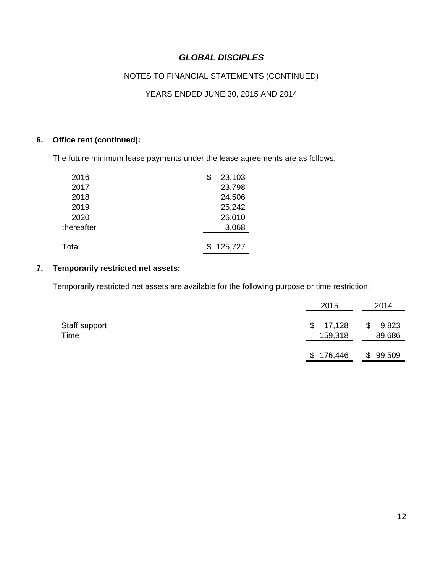## NOTES TO FINANCIAL STATEMENTS (CONTINUED)

## YEARS ENDED JUNE 30, 2015 AND 2014

## **6. Office rent (continued):**

The future minimum lease payments under the lease agreements are as follows:

| 2016       | \$<br>23,103 |
|------------|--------------|
| 2017       | 23,798       |
| 2018       | 24,506       |
| 2019       | 25,242       |
| 2020       | 26,010       |
| thereafter | 3,068        |
|            |              |
| Total      | 125,727      |

### **7. Temporarily restricted net assets:**

Temporarily restricted net assets are available for the following purpose or time restriction:

|                       | 2015                | 2014                  |
|-----------------------|---------------------|-----------------------|
| Staff support<br>Time | \$17,128<br>159,318 | 9,823<br>\$<br>89,686 |
|                       | \$<br>176,446       | 99,509<br>S           |